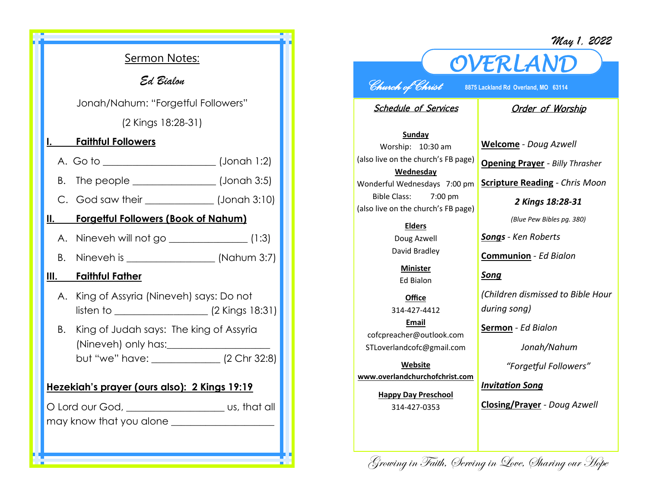*May 1, 2022*



## *OVERLAND Church of Christ* **8875 Lackland Rd Overland, MO 63114**

Schedule of Services

## Order of Worship

**Sunday** Worship: 10:30 am (also live on the church's FB page) **Wednesday** Wonderful Wednesdays 7:00 pm Bible Class: 7:00 pm (also live on the church's FB page)

## **Elders** Doug Azwell

David Bradley

**Minister** Ed Bialon

**Office** 314-427-4412 **Email** cofcpreacher@outlook.com STLoverlandcofc@gmail.com

**Website www.overlandchurchofchrist.com**

> **Happy Day Preschool** 314-427-0353

**Welcome** *- Doug Azwell*

**Opening Prayer** *- Billy Thrasher*

**Scripture Reading** *- Chris Moon* 

*2 Kings 18:28-31*

*(Blue Pew Bibles pg. 380)*

*Songs - Ken Roberts* 

**Communion** *- Ed Bialon*

*Song*

*(Children dismissed to Bible Hour during song)*

**Sermon** *- Ed Bialon*

*Jonah/Nahum* 

*"Forgetful Followers"*

*Invitation Song*

**Closing/Prayer** *- Doug Azwell*

Growing in Faith, Serving in Love, Sharing our Hope